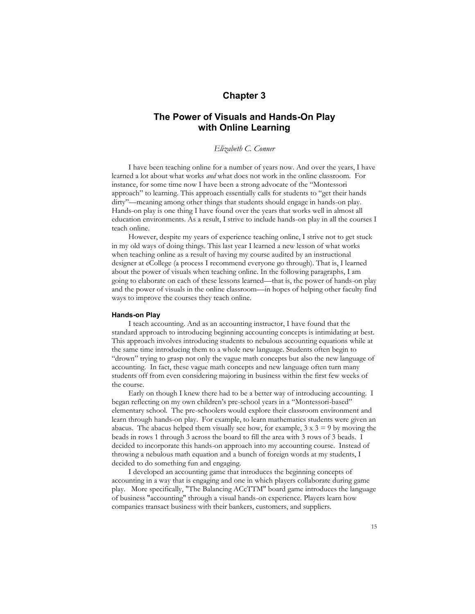## **Chapter 3**

# **The Power of Visuals and Hands-On Play with Online Learning**

## *Elizabeth C. Conner*

I have been teaching online for a number of years now. And over the years, I have learned a lot about what works *and* what does not work in the online classroom. For instance, for some time now I have been a strong advocate of the "Montessori approach" to learning. This approach essentially calls for students to "get their hands dirty"—meaning among other things that students should engage in hands-on play. Hands-on play is one thing I have found over the years that works well in almost all education environments. As a result, I strive to include hands-on play in all the courses I teach online.

However, despite my years of experience teaching online, I strive not to get stuck in my old ways of doing things. This last year I learned a new lesson of what works when teaching online as a result of having my course audited by an instructional designer at eCollege (a process I recommend everyone go through). That is, I learned about the power of visuals when teaching online. In the following paragraphs, I am going to elaborate on each of these lessons learned—that is, the power of hands-on play and the power of visuals in the online classroom—in hopes of helping other faculty find ways to improve the courses they teach online.

#### **Hands-on Play**

I teach accounting. And as an accounting instructor, I have found that the standard approach to introducing beginning accounting concepts is intimidating at best. This approach involves introducing students to nebulous accounting equations while at the same time introducing them to a whole new language. Students often begin to "drown" trying to grasp not only the vague math concepts but also the new language of accounting. In fact, these vague math concepts and new language often turn many students off from even considering majoring in business within the first few weeks of the course.

Early on though I knew there had to be a better way of introducing accounting. I began reflecting on my own children's pre-school years in a "Montessori-based" elementary school. The pre-schoolers would explore their classroom environment and learn through hands-on play. For example, to learn mathematics students were given an abacus. The abacus helped them visually see how, for example,  $3 \times 3 = 9$  by moving the beads in rows 1 through 3 across the board to fill the area with 3 rows of 3 beads. I decided to incorporate this hands-on approach into my accounting course. Instead of throwing a nebulous math equation and a bunch of foreign words at my students, I decided to do something fun and engaging.

I developed an accounting game that introduces the beginning concepts of accounting in a way that is engaging and one in which players collaborate during game play. More specifically, "The Balancing ACcTTM" board game introduces the language of business "accounting" through a visual hands-on experience. Players learn how companies transact business with their bankers, customers, and suppliers.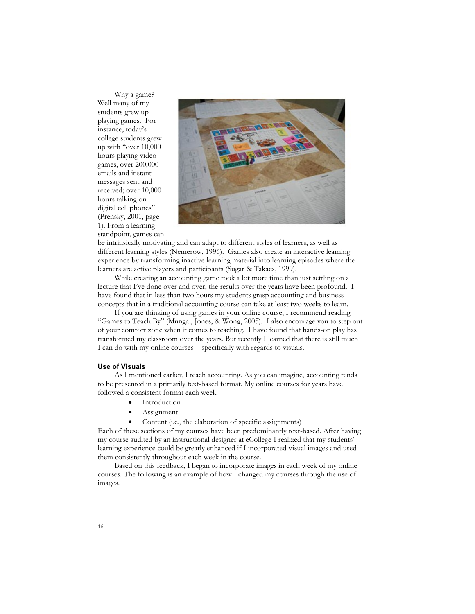Why a game? Well many of my students grew up playing games. For instance, today's college students grew up with "over 10,000 hours playing video games, over 200,000 emails and instant messages sent and received; over 10,000 hours talking on digital cell phones" (Prensky, 2001, page 1). From a learning standpoint, games can



be intrinsically motivating and can adapt to different styles of learners, as well as different learning styles (Nemerow, 1996). Games also create an interactive learning experience by transforming inactive learning material into learning episodes where the learners are active players and participants (Sugar & Takacs, 1999).

While creating an accounting game took a lot more time than just settling on a lecture that I've done over and over, the results over the years have been profound. I have found that in less than two hours my students grasp accounting and business concepts that in a traditional accounting course can take at least two weeks to learn.

If you are thinking of using games in your online course, I recommend reading "Games to Teach By" (Mungai, Jones, & Wong, 2005). I also encourage you to step out of your comfort zone when it comes to teaching. I have found that hands-on play has transformed my classroom over the years. But recently I learned that there is still much I can do with my online courses—specifically with regards to visuals.

## **Use of Visuals**

As I mentioned earlier, I teach accounting. As you can imagine, accounting tends to be presented in a primarily text-based format. My online courses for years have followed a consistent format each week:

- **•** Introduction
- Assignment
- Content (i.e., the elaboration of specific assignments)

Each of these sections of my courses have been predominantly text-based. After having my course audited by an instructional designer at eCollege I realized that my students' learning experience could be greatly enhanced if I incorporated visual images and used them consistently throughout each week in the course.

Based on this feedback, I began to incorporate images in each week of my online courses. The following is an example of how I changed my courses through the use of images.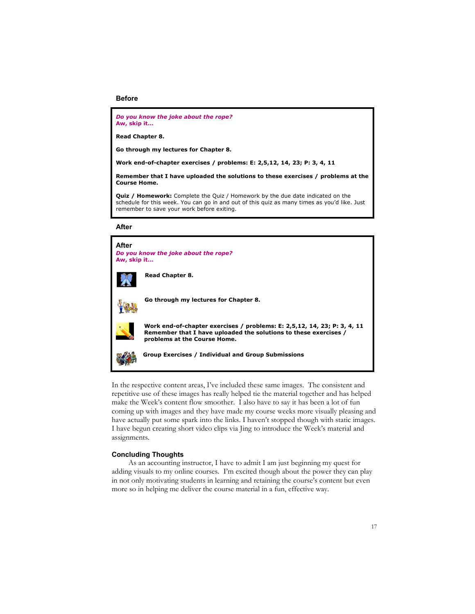#### **Before**

*Do you know the joke about the rope?* **Aw, skip it…**

**Read Chapter 8.**

**Go through my lectures for Chapter 8.**

**Work end-of-chapter exercises / problems: E: 2,5,12, 14, 23; P: 3, 4, 11**

**Remember that I have uploaded the solutions to these exercises / problems at the Course Home.**

**Quiz / Homework:** Complete the Quiz / Homework by the due date indicated on the schedule for this week. You can go in and out of this quiz as many times as you'd like. Just remember to save your work before exiting.

**After**



In the respective content areas, I've included these same images. The consistent and repetitive use of these images has really helped tie the material together and has helped make the Week's content flow smoother. I also have to say it has been a lot of fun coming up with images and they have made my course weeks more visually pleasing and have actually put some spark into the links. I haven't stopped though with static images. I have begun creating short video clips via Jing to introduce the Week's material and assignments.

### **Concluding Thoughts**

As an accounting instructor, I have to admit I am just beginning my quest for adding visuals to my online courses. I'm excited though about the power they can play in not only motivating students in learning and retaining the course's content but even more so in helping me deliver the course material in a fun, effective way.